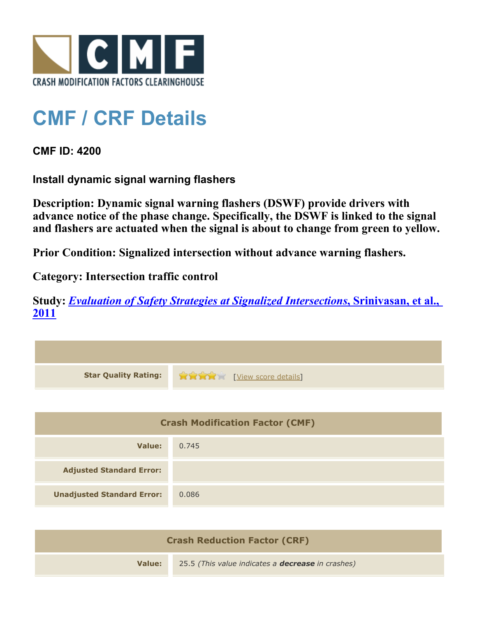

## **CMF / CRF Details**

**CMF ID: 4200**

**Install dynamic signal warning flashers**

**Description: Dynamic signal warning flashers (DSWF) provide drivers with advance notice of the phase change. Specifically, the DSWF is linked to the signal and flashers are actuated when the signal is about to change from green to yellow.**

**Prior Condition: Signalized intersection without advance warning flashers.**

**Category: Intersection traffic control**

**Study:** *[Evaluation of Safety Strategies at Signalized Intersections](http://www.cmfclearinghouse.org/study_detail.cfm?stid=290)***[, Srinivasan, et al.,](http://www.cmfclearinghouse.org/study_detail.cfm?stid=290) [2011](http://www.cmfclearinghouse.org/study_detail.cfm?stid=290)**

| <b>Star Quality Rating:</b>            | View score details |  |
|----------------------------------------|--------------------|--|
|                                        |                    |  |
| <b>Crash Modification Factor (CMF)</b> |                    |  |
| Value:                                 | 0.745              |  |
| <b>Adjusted Standard Error:</b>        |                    |  |
| <b>Unadjusted Standard Error:</b>      | 0.086              |  |

| <b>Crash Reduction Factor (CRF)</b> |                                                          |  |
|-------------------------------------|----------------------------------------------------------|--|
| Value:                              | 25.5 (This value indicates a <b>decrease</b> in crashes) |  |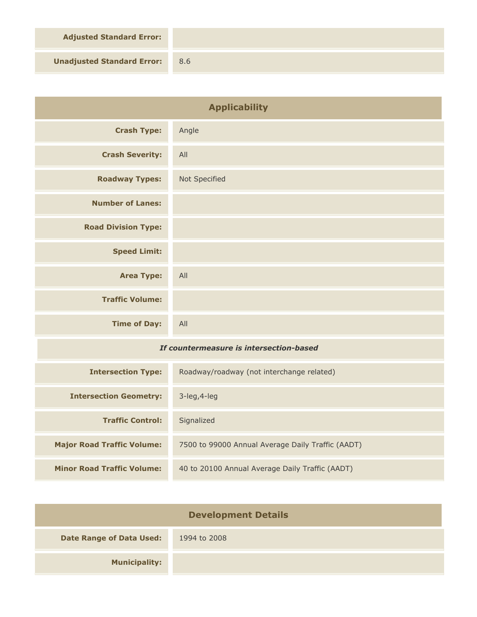**Adjusted Standard Error:**

**Unadjusted Standard Error:** 8.6

| <b>Applicability</b>                    |                                                   |
|-----------------------------------------|---------------------------------------------------|
| <b>Crash Type:</b>                      | Angle                                             |
| <b>Crash Severity:</b>                  | All                                               |
| <b>Roadway Types:</b>                   | Not Specified                                     |
| <b>Number of Lanes:</b>                 |                                                   |
| <b>Road Division Type:</b>              |                                                   |
| <b>Speed Limit:</b>                     |                                                   |
| <b>Area Type:</b>                       | All                                               |
| <b>Traffic Volume:</b>                  |                                                   |
| <b>Time of Day:</b>                     | All                                               |
| If countermeasure is intersection-based |                                                   |
| <b>Intersection Type:</b>               | Roadway/roadway (not interchange related)         |
| <b>Intersection Geometry:</b>           | 3-leg, 4-leg                                      |
| <b>Traffic Control:</b>                 | Signalized                                        |
| <b>Major Road Traffic Volume:</b>       | 7500 to 99000 Annual Average Daily Traffic (AADT) |
| <b>Minor Road Traffic Volume:</b>       | 40 to 20100 Annual Average Daily Traffic (AADT)   |

| <b>Development Details</b>      |              |  |
|---------------------------------|--------------|--|
| <b>Date Range of Data Used:</b> | 1994 to 2008 |  |
| <b>Municipality:</b>            |              |  |